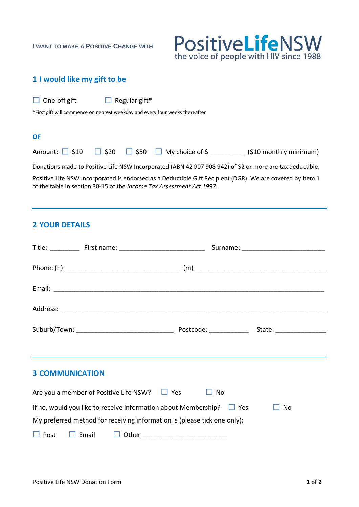**I WANT TO MAKE A POSITIVE CHANGE WITH**



## **1 I would like my gift to be**

| $\Box$ One-off gift | $\Box$ Regular gift* |
|---------------------|----------------------|
|                     |                      |

\*First gift will commence on nearest weekday and every four weeks thereafter

#### **OF**

Amount:  $\Box$  \$10  $\Box$  \$20  $\Box$  \$50  $\Box$  My choice of \$ \_\_\_\_\_\_\_\_\_\_\_ (\$10 monthly minimum)

Donations made to Positive Life NSW Incorporated (ABN 42 907 908 942) of \$2 or more are tax deductible.

Positive Life NSW Incorporated is endorsed as a Deductible Gift Recipient (DGR). We are covered by [Item 1](https://abr.business.gov.au/Help/DGR#itaa) of the table in section 30-15 of the *Income Tax Assessment Act 1997*.

## **2 YOUR DETAILS**

| <b>3 COMMUNICATION</b>                                                          |  |  |  |  |  |  |  |
|---------------------------------------------------------------------------------|--|--|--|--|--|--|--|
| Are you a member of Positive Life NSW? $\Box$ Yes<br><b>No</b><br>ш             |  |  |  |  |  |  |  |
| If no, would you like to receive information about Membership? $\Box$ Yes<br>No |  |  |  |  |  |  |  |
| My preferred method for receiving information is (please tick one only):        |  |  |  |  |  |  |  |
| $\Box$ Post                                                                     |  |  |  |  |  |  |  |